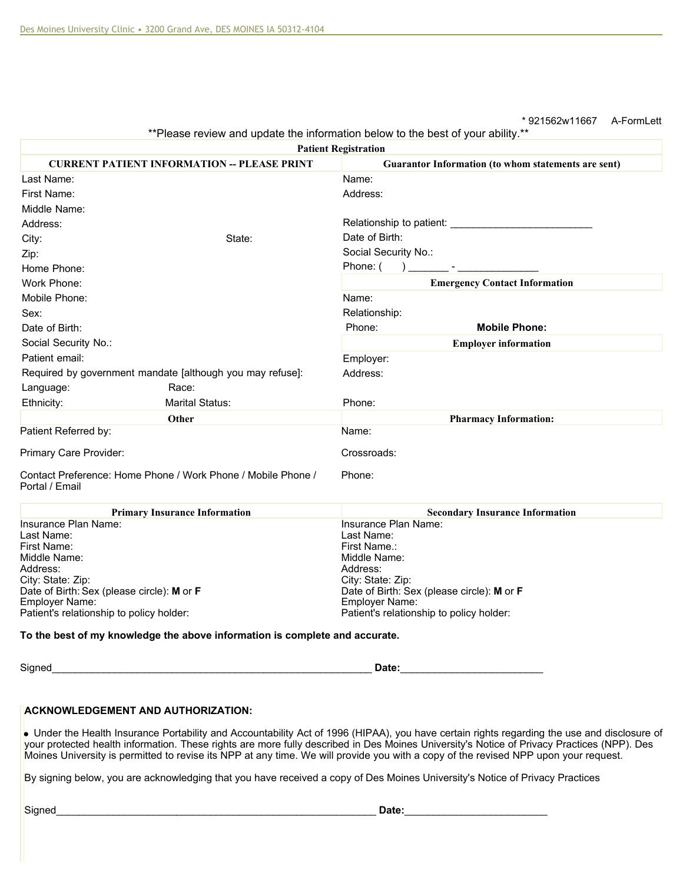## \* 921562w11667 A-FormLett

\*\*Please review and update the information below to the best of your ability.\*\*

| <b>Patient Registration</b>                                                                                                                  |                                                                                                                                                                                                                               |  |
|----------------------------------------------------------------------------------------------------------------------------------------------|-------------------------------------------------------------------------------------------------------------------------------------------------------------------------------------------------------------------------------|--|
| <b>CURRENT PATIENT INFORMATION -- PLEASE PRINT</b>                                                                                           | Guarantor Information (to whom statements are sent)                                                                                                                                                                           |  |
| Last Name:                                                                                                                                   | Name:                                                                                                                                                                                                                         |  |
| First Name:                                                                                                                                  | Address:                                                                                                                                                                                                                      |  |
| Middle Name:                                                                                                                                 |                                                                                                                                                                                                                               |  |
| Address:                                                                                                                                     |                                                                                                                                                                                                                               |  |
| State:<br>City:                                                                                                                              | Date of Birth:                                                                                                                                                                                                                |  |
| Zip:                                                                                                                                         | Social Security No.:                                                                                                                                                                                                          |  |
| Home Phone:                                                                                                                                  | Phone: (                                                                                                                                                                                                                      |  |
| Work Phone:                                                                                                                                  | <b>Emergency Contact Information</b>                                                                                                                                                                                          |  |
| Mobile Phone:                                                                                                                                | Name:                                                                                                                                                                                                                         |  |
| Sex:                                                                                                                                         | Relationship:                                                                                                                                                                                                                 |  |
| Date of Birth:                                                                                                                               | <b>Mobile Phone:</b><br>Phone:                                                                                                                                                                                                |  |
| Social Security No.:                                                                                                                         | <b>Employer information</b>                                                                                                                                                                                                   |  |
| Patient email:                                                                                                                               | Employer:                                                                                                                                                                                                                     |  |
| Required by government mandate [although you may refuse]:                                                                                    | Address:                                                                                                                                                                                                                      |  |
| Language:<br>Race:                                                                                                                           |                                                                                                                                                                                                                               |  |
| <b>Marital Status:</b><br>Ethnicity:                                                                                                         | Phone:                                                                                                                                                                                                                        |  |
| Other                                                                                                                                        | <b>Pharmacy Information:</b>                                                                                                                                                                                                  |  |
| Patient Referred by:                                                                                                                         | Name:                                                                                                                                                                                                                         |  |
| Primary Care Provider:                                                                                                                       | Crossroads:                                                                                                                                                                                                                   |  |
| Contact Preference: Home Phone / Work Phone / Mobile Phone /<br>Portal / Email                                                               | Phone:                                                                                                                                                                                                                        |  |
| <b>Primary Insurance Information</b>                                                                                                         | <b>Secondary Insurance Information</b>                                                                                                                                                                                        |  |
| Insurance Plan Name:                                                                                                                         | Insurance Plan Name:                                                                                                                                                                                                          |  |
| Last Name:<br>First Name:                                                                                                                    | Last Name:<br>First Name.:                                                                                                                                                                                                    |  |
| Middle Name:                                                                                                                                 | Middle Name:                                                                                                                                                                                                                  |  |
| Address:                                                                                                                                     | Address:                                                                                                                                                                                                                      |  |
| City: State: Zip:                                                                                                                            | City: State: Zip:                                                                                                                                                                                                             |  |
| Date of Birth: Sex (please circle): M or F<br><b>Employer Name:</b>                                                                          | Date of Birth: Sex (please circle): M or F<br><b>Employer Name:</b>                                                                                                                                                           |  |
| Patient's relationship to policy holder:                                                                                                     | Patient's relationship to policy holder:                                                                                                                                                                                      |  |
| To the best of my knowledge the above information is complete and accurate.                                                                  |                                                                                                                                                                                                                               |  |
|                                                                                                                                              |                                                                                                                                                                                                                               |  |
| Signed<br><u> 1980 - Johann Barbara, martxa alemaniar arg</u>                                                                                | Date: Natural Contract of the Contract of the Contract of the Contract of the Contract of the Contract of the Contract of the Contract of the Contract of the Contract of the Contract of the Contract of the Contract of the |  |
| <b>ACKNOWLEDGEMENT AND AUTHORIZATION:</b>                                                                                                    |                                                                                                                                                                                                                               |  |
| • Under the Health Insurance Portability and Accountability Act of 1996 (HIPAA), you have certain rights regarding the use and disclosure of |                                                                                                                                                                                                                               |  |
| your protected health information. These rights are more fully described in Des Moines University's Notice of Privacy Practices (NPP). Des   |                                                                                                                                                                                                                               |  |

By signing below, you are acknowledging that you have received a copy of Des Moines University's Notice of Privacy Practices

Moines University is permitted to revise its NPP at any time. We will provide you with a copy of the revised NPP upon your request.